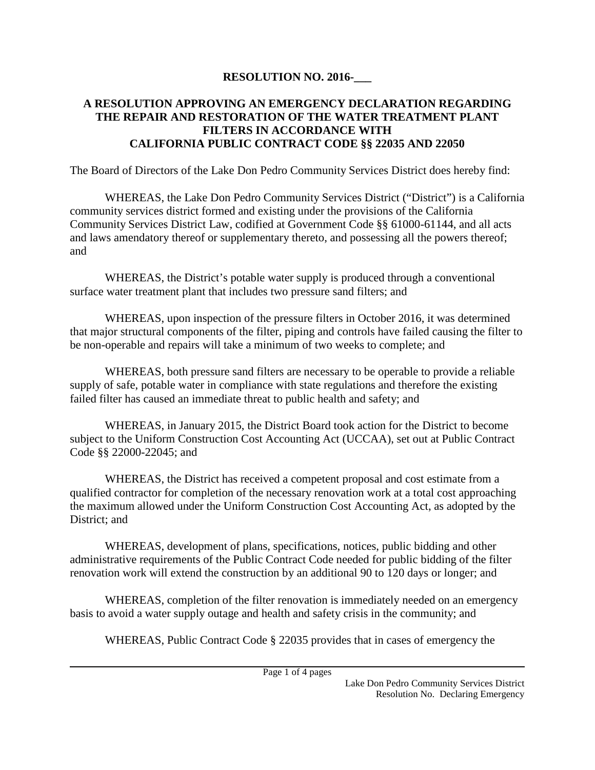## **RESOLUTION NO. 2016-\_\_\_**

## **A RESOLUTION APPROVING AN EMERGENCY DECLARATION REGARDING THE REPAIR AND RESTORATION OF THE WATER TREATMENT PLANT FILTERS IN ACCORDANCE WITH CALIFORNIA PUBLIC CONTRACT CODE §§ 22035 AND 22050**

The Board of Directors of the Lake Don Pedro Community Services District does hereby find:

WHEREAS, the Lake Don Pedro Community Services District ("District") is a California community services district formed and existing under the provisions of the California Community Services District Law, codified at Government Code §§ 61000-61144, and all acts and laws amendatory thereof or supplementary thereto, and possessing all the powers thereof; and

WHEREAS, the District's potable water supply is produced through a conventional surface water treatment plant that includes two pressure sand filters; and

WHEREAS, upon inspection of the pressure filters in October 2016, it was determined that major structural components of the filter, piping and controls have failed causing the filter to be non-operable and repairs will take a minimum of two weeks to complete; and

WHEREAS, both pressure sand filters are necessary to be operable to provide a reliable supply of safe, potable water in compliance with state regulations and therefore the existing failed filter has caused an immediate threat to public health and safety; and

WHEREAS, in January 2015, the District Board took action for the District to become subject to the Uniform Construction Cost Accounting Act (UCCAA), set out at Public Contract Code §§ 22000-22045; and

WHEREAS, the District has received a competent proposal and cost estimate from a qualified contractor for completion of the necessary renovation work at a total cost approaching the maximum allowed under the Uniform Construction Cost Accounting Act, as adopted by the District; and

WHEREAS, development of plans, specifications, notices, public bidding and other administrative requirements of the Public Contract Code needed for public bidding of the filter renovation work will extend the construction by an additional 90 to 120 days or longer; and

WHEREAS, completion of the filter renovation is immediately needed on an emergency basis to avoid a water supply outage and health and safety crisis in the community; and

WHEREAS, Public Contract Code § 22035 provides that in cases of emergency the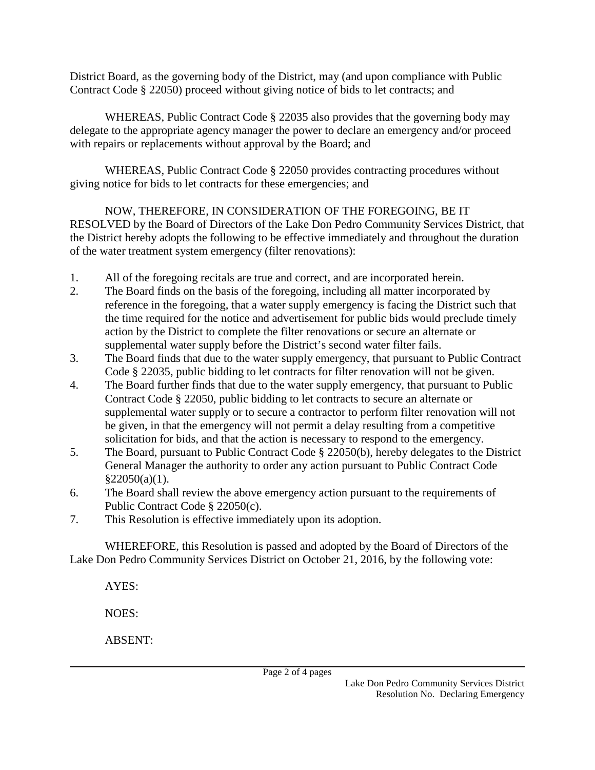District Board, as the governing body of the District, may (and upon compliance with Public Contract Code § 22050) proceed without giving notice of bids to let contracts; and

WHEREAS, Public Contract Code § 22035 also provides that the governing body may delegate to the appropriate agency manager the power to declare an emergency and/or proceed with repairs or replacements without approval by the Board; and

WHEREAS, Public Contract Code § 22050 provides contracting procedures without giving notice for bids to let contracts for these emergencies; and

NOW, THEREFORE, IN CONSIDERATION OF THE FOREGOING, BE IT RESOLVED by the Board of Directors of the Lake Don Pedro Community Services District, that the District hereby adopts the following to be effective immediately and throughout the duration of the water treatment system emergency (filter renovations):

- 1. All of the foregoing recitals are true and correct, and are incorporated herein.
- 2. The Board finds on the basis of the foregoing, including all matter incorporated by reference in the foregoing, that a water supply emergency is facing the District such that the time required for the notice and advertisement for public bids would preclude timely action by the District to complete the filter renovations or secure an alternate or supplemental water supply before the District's second water filter fails.
- 3. The Board finds that due to the water supply emergency, that pursuant to Public Contract Code § 22035, public bidding to let contracts for filter renovation will not be given.
- 4. The Board further finds that due to the water supply emergency, that pursuant to Public Contract Code § 22050, public bidding to let contracts to secure an alternate or supplemental water supply or to secure a contractor to perform filter renovation will not be given, in that the emergency will not permit a delay resulting from a competitive solicitation for bids, and that the action is necessary to respond to the emergency.
- 5. The Board, pursuant to Public Contract Code § 22050(b), hereby delegates to the District General Manager the authority to order any action pursuant to Public Contract Code  $$22050(a)(1)$ .
- 6. The Board shall review the above emergency action pursuant to the requirements of Public Contract Code § 22050(c).
- 7. This Resolution is effective immediately upon its adoption.

WHEREFORE, this Resolution is passed and adopted by the Board of Directors of the Lake Don Pedro Community Services District on October 21, 2016, by the following vote:

AYES: NOES:

ABSENT: